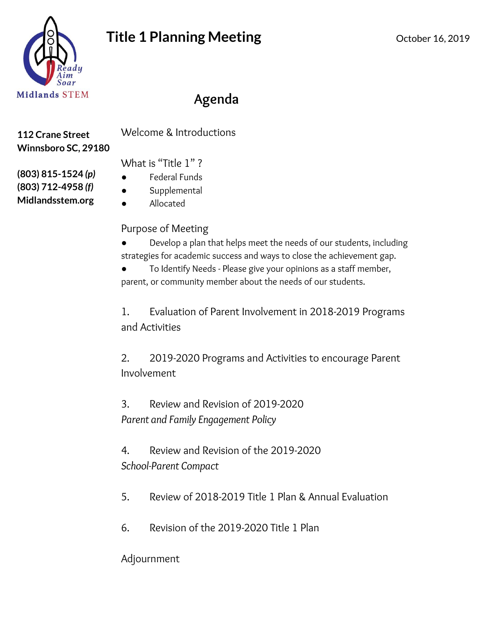

# **Agenda**

**112 Crane Street Winnsboro SC, 29180**

**(803) 815-1524** *(p)* **(803) 712-4958** *(f)* **Midlandsstem.org**

Welcome & Introductions

What is "Title 1"?

- **Federal Funds**
- Supplemental
- Allocated

### Purpose of Meeting

Develop a plan that helps meet the needs of our students, including strategies for academic success and ways to close the achievement gap.

To Identify Needs - Please give your opinions as a staff member, parent, or community member about the needs of our students.

1. Evaluation of Parent Involvement in 2018-2019 Programs and Activities

2. 2019-2020 Programs and Activities to encourage Parent Involvement

3. Review and Revision of 2019-2020 *Parent and Family Engagement Policy*

4. Review and Revision of the 2019-2020 *School-Parent Compact*

- 5. Review of 2018-2019 Title 1 Plan & Annual Evaluation
- 6. Revision of the 2019-2020 Title 1 Plan

Adjournment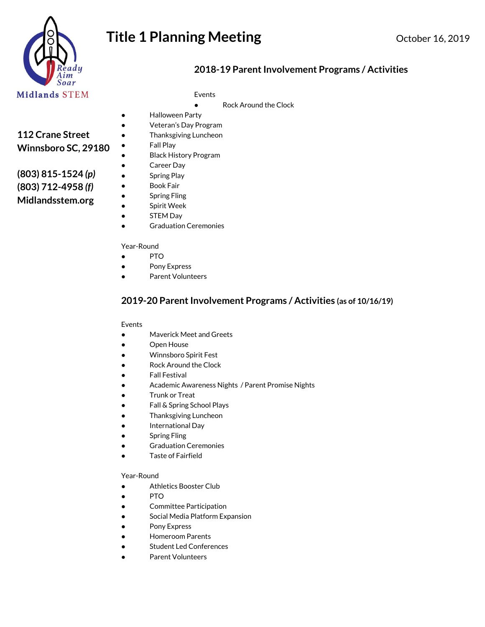

# **Title 1 Planning Meeting Conservery Conservery 16, 2019**

### **2018-19 ParentInvolvement Programs / Activities**

Events

● Rock Around the Clock

- Halloween Party
	- Veteran's Day Program
- **Thanksgiving Luncheon** ● Fall Play

- Black History Program
- Career Day
- Spring Play
- Book Fair
- **Spring Fling**
- Spirit Week
- STEM Day
- Graduation Ceremonies

#### Year-Round

- PTO
- Pony Express
- Parent Volunteers

### **2019-20 ParentInvolvement Programs / Activities (as of 10/16/19)**

#### Events

- Maverick Meet and Greets
- Open House
- Winnsboro Spirit Fest
- Rock Around the Clock
- Fall Festival
- Academic Awareness Nights / Parent Promise Nights
- Trunk or Treat
- Fall & Spring School Plays
- Thanksgiving Luncheon
- International Day
- Spring Fling
- Graduation Ceremonies
- Taste of Fairfield

#### Year-Round

- Athletics Booster Club
- PTO
- Committee Participation
- Social Media Platform Expansion
- Pony Express
- **Homeroom Parents**
- Student Led Conferences
- Parent Volunteers

### **112 Crane Street Winnsboro SC, 29180**

**(803) 815-1524** *(p)* **(803) 712-4958** *(f)* **Midlandsstem.org**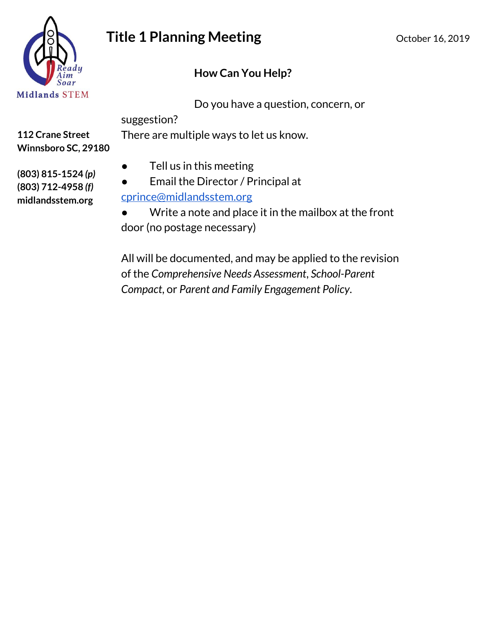

# **Title 1 Planning Meeting Canadian Care 16, 2019** October 16, 2019

### **How Can You Help?**

Do you have a question, concern, or

suggestion?

There are multiple ways to let us know.

**112 Crane Street Winnsboro SC, 29180**

- Tell us in this meeting
- Email the Director / Principal at [cprince@midlandsstem.org](mailto:cprince@midlandsstem.org)

Write a note and place it in the mailbox at the front door (no postage necessary)

All will be documented, and may be applied to the revision of the *Comprehensive Needs Assessment*, *School-Parent Compact*, or *Parent and Family Engagement Policy*.

**(803) 815-1524** *(p)* **(803) 712-4958** *(f)* **midlandsstem.org**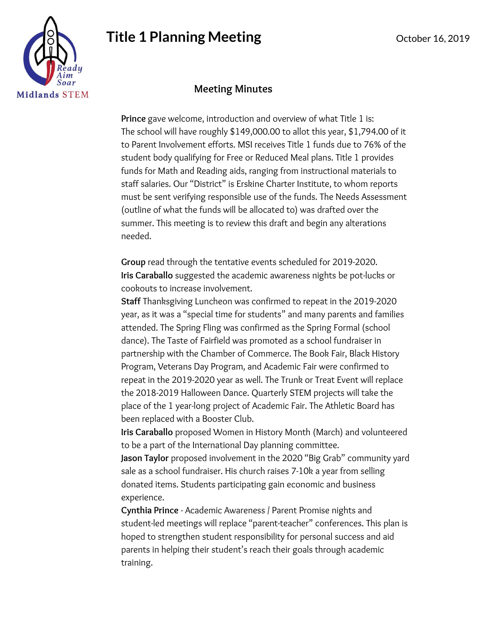# **Title 1 Planning Meeting Communicate 16, 2019** October 16, 2019

### **Meeting Minutes**

**Prince** gave welcome, introduction and overview of what Title 1 is: The school will have roughly \$149,000.00 to allot this year, \$1,794.00 of it to Parent Involvement efforts. MSI receives Title 1 funds due to 76% of the student body qualifying for Free or Reduced Meal plans. Title 1 provides funds for Math and Reading aids, ranging from instructional materials to staff salaries. Our "District" is Erskine Charter Institute, to whom reports must be sent verifying responsible use of the funds. The Needs Assessment (outline of what the funds will be allocated to) was drafted over the summer. This meeting is to review this draft and begin any alterations needed.

**Group** read through the tentative events scheduled for 2019-2020. **Iris Caraballo** suggested the academic awareness nights be pot-lucks or cookouts to increase involvement.

**Staff** Thanksgiving Luncheon was confirmed to repeat in the 2019-2020 year, as it was a "special time for students" and many parents and families attended. The Spring Fling was confirmed as the Spring Formal (school dance). The Taste of Fairfield was promoted as a school fundraiser in partnership with the Chamber of Commerce. The Book Fair, Black History Program, Veterans Day Program, and Academic Fair were confirmed to repeat in the 2019-2020 year as well. The Trunk or Treat Event will replace the 2018-2019 Halloween Dance. Quarterly STEM projects will take the place of the 1 year-long project of Academic Fair. The Athletic Board has been replaced with a Booster Club.

**Iris Caraballo** proposed Women in History Month (March) and volunteered to be a part of the International Day planning committee.

**Jason Taylor** proposed involvement in the 2020 "Big Grab" community yard sale as a school fundraiser. His church raises 7-10k a year from selling donated items. Students participating gain economic and business experience.

**Cynthia Prince** - Academic Awareness / Parent Promise nights and student-led meetings will replace "parent-teacher" conferences. This plan is hoped to strengthen student responsibility for personal success and aid parents in helping their student's reach their goals through academic training.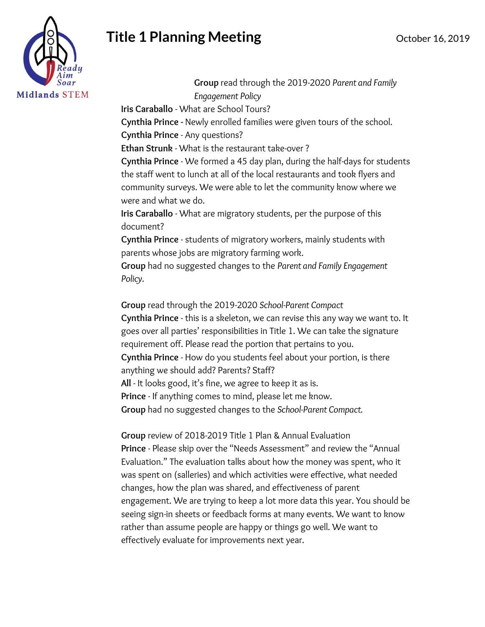# **Title 1 Planning Meeting Communicate 16, 2019** October 16, 2019



**Group** read through the 2019-2020 *Parent and Family Engagement Policy*

**Iris Caraballo** - What are School Tours?

**Cynthia Prince -** Newly enrolled families were given tours of the school. **Cynthia Prince** - Any questions?

**Ethan Strunk** - What is the restaurant take-over ?

**Cynthia Prince** - We formed a 45 day plan, during the half-days for students the staff went to lunch at all of the local restaurants and took flyers and community surveys. We were able to let the community know where we were and what we do.

**Iris Caraballo** - What are migratory students, per the purpose of this document?

**Cynthia Prince** - students of migratory workers, mainly students with parents whose jobs are migratory farming work.

**Group** had no suggested changes to the *Parent and Family Engagement Policy*.

**Group** read through the 2019-2020 *School-Parent Compact*

**Cynthia Prince** - this is a skeleton, we can revise this any way we want to. It goes over all parties' responsibilities in Title 1. We can take the signature requirement off. Please read the portion that pertains to you. **Cynthia Prince** - How do you students feel about your portion, is there anything we should add? Parents? Staff? **All** - It looks good, it's fine, we agree to keep it as is. **Prince** - If anything comes to mind, please let me know.

**Group** had no suggested changes to the *School-Parent Compact.*

**Group** review of 2018-2019 Title 1 Plan & Annual Evaluation **Prince** - Please skip over the "Needs Assessment" and review the "Annual Evaluation." The evaluation talks about how the money was spent, who it was spent on (salleries) and which activities were effective, what needed changes, how the plan was shared, and effectiveness of parent engagement. We are trying to keep a lot more data this year. You should be seeing sign-in sheets or feedback forms at many events. We want to know rather than assume people are happy or things go well. We want to effectively evaluate for improvements next year.